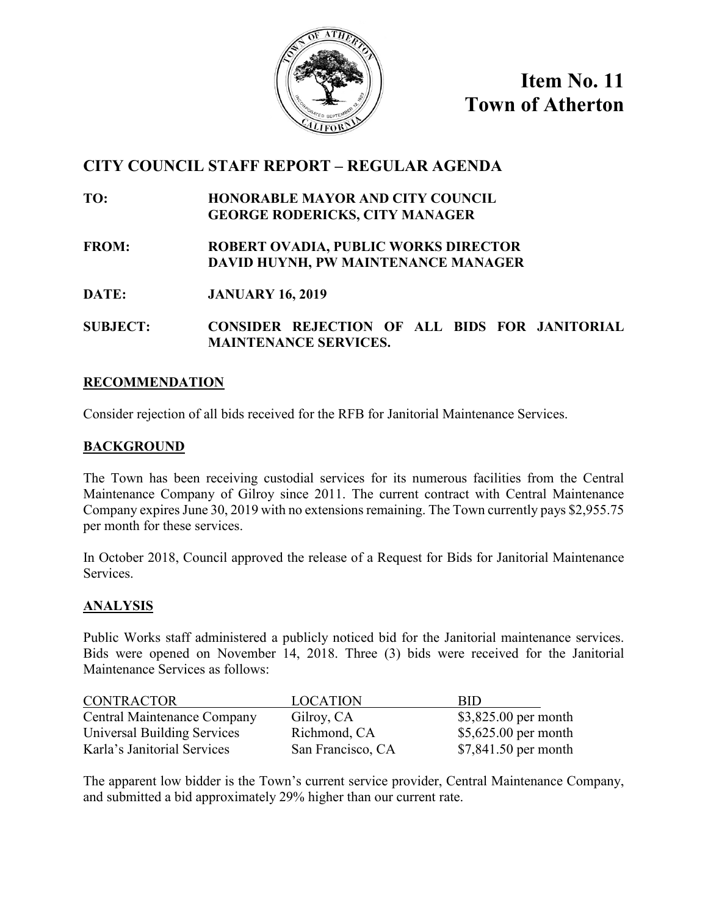

**Item No. 11 Town of Atherton**

# **CITY COUNCIL STAFF REPORT – REGULAR AGENDA**

- **TO: HONORABLE MAYOR AND CITY COUNCIL GEORGE RODERICKS, CITY MANAGER**
- **FROM: ROBERT OVADIA, PUBLIC WORKS DIRECTOR DAVID HUYNH, PW MAINTENANCE MANAGER**
- **DATE: JANUARY 16, 2019**
- **SUBJECT: CONSIDER REJECTION OF ALL BIDS FOR JANITORIAL MAINTENANCE SERVICES.**

## **RECOMMENDATION**

Consider rejection of all bids received for the RFB for Janitorial Maintenance Services.

#### **BACKGROUND**

The Town has been receiving custodial services for its numerous facilities from the Central Maintenance Company of Gilroy since 2011. The current contract with Central Maintenance Company expires June 30, 2019 with no extensions remaining. The Town currently pays \$2,955.75 per month for these services.

In October 2018, Council approved the release of a Request for Bids for Janitorial Maintenance Services.

## **ANALYSIS**

Public Works staff administered a publicly noticed bid for the Janitorial maintenance services. Bids were opened on November 14, 2018. Three (3) bids were received for the Janitorial Maintenance Services as follows:

| <b>CONTRACTOR</b>           | <b>LOCATION</b>   | <b>RID</b>            |
|-----------------------------|-------------------|-----------------------|
| Central Maintenance Company | Gilroy, CA        | $$3,825.00$ per month |
| Universal Building Services | Richmond, CA      | $$5,625.00$ per month |
| Karla's Janitorial Services | San Francisco, CA | $$7,841.50$ per month |

The apparent low bidder is the Town's current service provider, Central Maintenance Company, and submitted a bid approximately 29% higher than our current rate.